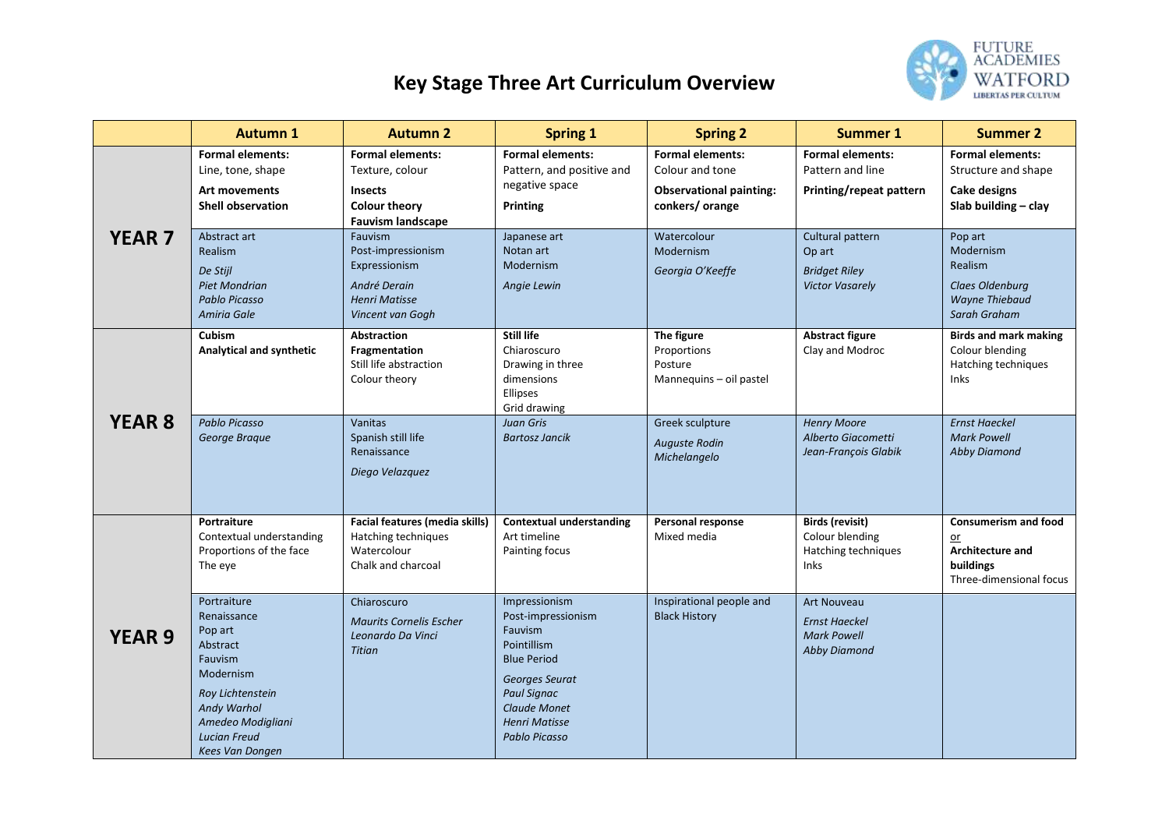## **Key Stage Three Art Curriculum Overview**



|               | <b>Autumn 1</b>                                                                                       | <b>Autumn 2</b>                                                                                                  | <b>Spring 1</b>                                                                                       | <b>Spring 2</b>                                                                                | <b>Summer 1</b>                                                                         | <b>Summer 2</b>                                                                                        |
|---------------|-------------------------------------------------------------------------------------------------------|------------------------------------------------------------------------------------------------------------------|-------------------------------------------------------------------------------------------------------|------------------------------------------------------------------------------------------------|-----------------------------------------------------------------------------------------|--------------------------------------------------------------------------------------------------------|
| <b>YEAR 7</b> | <b>Formal elements:</b><br>Line, tone, shape<br><b>Art movements</b><br><b>Shell observation</b>      | <b>Formal elements:</b><br>Texture, colour<br><b>Insects</b><br><b>Colour theory</b><br><b>Fauvism landscape</b> | <b>Formal elements:</b><br>Pattern, and positive and<br>negative space<br><b>Printing</b>             | <b>Formal elements:</b><br>Colour and tone<br><b>Observational painting:</b><br>conkers/orange | <b>Formal elements:</b><br>Pattern and line<br>Printing/repeat pattern                  | <b>Formal elements:</b><br>Structure and shape<br><b>Cake designs</b><br>Slab building - clay          |
|               | Abstract art<br>Realism<br>De Stijl<br><b>Piet Mondrian</b><br>Pablo Picasso<br>Amiria Gale           | Fauvism<br>Post-impressionism<br>Expressionism<br>André Derain<br><b>Henri Matisse</b><br>Vincent van Gogh       | Japanese art<br>Notan art<br>Modernism<br>Angie Lewin                                                 | Watercolour<br>Modernism<br>Georgia O'Keeffe                                                   | Cultural pattern<br>Op art<br><b>Bridget Riley</b><br><b>Victor Vasarely</b>            | Pop art<br>Modernism<br>Realism<br>Claes Oldenburg<br>Wayne Thiebaud<br>Sarah Graham                   |
| <b>YEAR 8</b> | Cubism<br>Analytical and synthetic                                                                    | <b>Abstraction</b><br>Fragmentation<br>Still life abstraction<br>Colour theory                                   | <b>Still life</b><br>Chiaroscuro<br>Drawing in three<br>dimensions<br>Ellipses<br>Grid drawing        | The figure<br>Proportions<br>Posture<br>Mannequins - oil pastel                                | <b>Abstract figure</b><br>Clay and Modroc                                               | <b>Birds and mark making</b><br>Colour blending<br>Hatching techniques<br><b>Inks</b>                  |
|               | <b>Pablo Picasso</b><br>George Brague                                                                 | Vanitas<br>Spanish still life<br>Renaissance<br>Diego Velazquez                                                  | <b>Juan Gris</b><br><b>Bartosz Jancik</b>                                                             | Greek sculpture<br><b>Auguste Rodin</b><br>Michelangelo                                        | <b>Henry Moore</b><br>Alberto Giacometti<br>Jean-François Glabik                        | <b>Ernst Haeckel</b><br><b>Mark Powell</b><br><b>Abby Diamond</b>                                      |
| <b>YEAR 9</b> | Portraiture<br>Contextual understanding<br>Proportions of the face<br>The eye                         | Facial features (media skills)<br>Hatching techniques<br>Watercolour<br>Chalk and charcoal                       | <b>Contextual understanding</b><br>Art timeline<br>Painting focus                                     | Personal response<br>Mixed media                                                               | <b>Birds (revisit)</b><br>Colour blending<br>Hatching techniques<br>Inks                | <b>Consumerism and food</b><br>$or$<br><b>Architecture and</b><br>buildings<br>Three-dimensional focus |
|               | Portraiture<br>Renaissance<br>Pop art<br>Abstract<br>Fauvism<br>Modernism                             | Chiaroscuro<br><b>Maurits Cornelis Escher</b><br>Leonardo Da Vinci<br><b>Titian</b>                              | Impressionism<br>Post-impressionism<br>Fauvism<br>Pointillism<br><b>Blue Period</b><br>Georges Seurat | Inspirational people and<br><b>Black History</b>                                               | <b>Art Nouveau</b><br><b>Ernst Haeckel</b><br><b>Mark Powell</b><br><b>Abby Diamond</b> |                                                                                                        |
|               | Roy Lichtenstein<br>Andy Warhol<br>Amedeo Modigliani<br><b>Lucian Freud</b><br><b>Kees Van Donaen</b> |                                                                                                                  | Paul Signac<br><b>Claude Monet</b><br><b>Henri Matisse</b><br>Pablo Picasso                           |                                                                                                |                                                                                         |                                                                                                        |